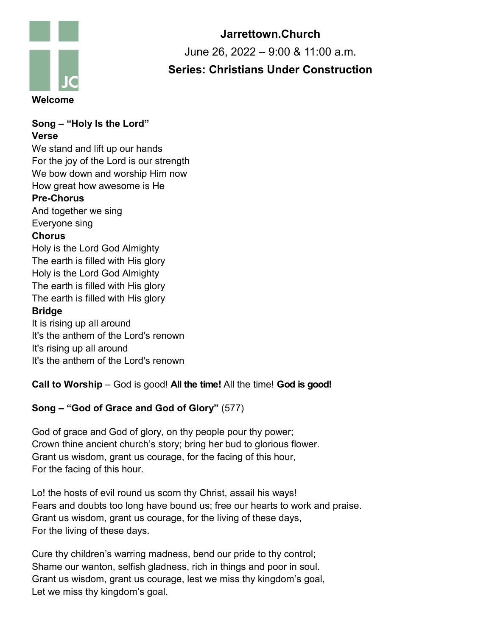

**Jarrettown.Church** June 26, 2022 – 9:00 & 11:00 a.m. **Series: Christians Under Construction**

#### **Song – "Holy Is the Lord" Verse**

We stand and lift up our hands For the joy of the Lord is our strength We bow down and worship Him now How great how awesome is He

## **Pre-Chorus**

And together we sing Everyone sing

## **Chorus**

Holy is the Lord God Almighty The earth is filled with His glory Holy is the Lord God Almighty The earth is filled with His glory The earth is filled with His glory

## **Bridge**

It is rising up all around It's the anthem of the Lord's renown It's rising up all around It's the anthem of the Lord's renown

# **Call to Worship** – God is good! **All the time!** All the time! **God is good!**

# **Song – "God of Grace and God of Glory"** (577)

God of grace and God of glory, on thy people pour thy power; Crown thine ancient church's story; bring her bud to glorious flower. Grant us wisdom, grant us courage, for the facing of this hour, For the facing of this hour.

Lo! the hosts of evil round us scorn thy Christ, assail his ways! Fears and doubts too long have bound us; free our hearts to work and praise. Grant us wisdom, grant us courage, for the living of these days, For the living of these days.

Cure thy children's warring madness, bend our pride to thy control; Shame our wanton, selfish gladness, rich in things and poor in soul. Grant us wisdom, grant us courage, lest we miss thy kingdom's goal, Let we miss thy kingdom's goal.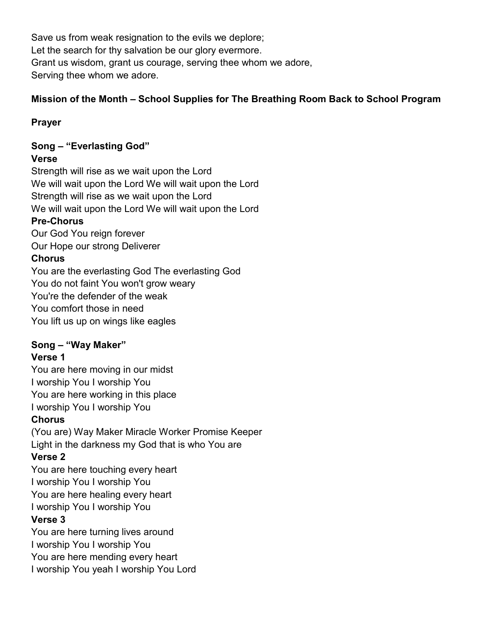Save us from weak resignation to the evils we deplore; Let the search for thy salvation be our glory evermore. Grant us wisdom, grant us courage, serving thee whom we adore, Serving thee whom we adore.

## **Mission of the Month – School Supplies for The Breathing Room Back to School Program**

#### **Prayer**

# **Song – "Everlasting God"**

#### **Verse**

Strength will rise as we wait upon the Lord We will wait upon the Lord We will wait upon the Lord Strength will rise as we wait upon the Lord We will wait upon the Lord We will wait upon the Lord **Pre-Chorus** Our God You reign forever Our Hope our strong Deliverer **Chorus** You are the everlasting God The everlasting God You do not faint You won't grow weary You're the defender of the weak You comfort those in need You lift us up on wings like eagles

# **Song – "Way Maker"**

#### **Verse 1**

You are here moving in our midst I worship You I worship You You are here working in this place I worship You I worship You

# **Chorus**

(You are) Way Maker Miracle Worker Promise Keeper Light in the darkness my God that is who You are **Verse 2**

You are here touching every heart I worship You I worship You You are here healing every heart I worship You I worship You **Verse 3** You are here turning lives around I worship You I worship You You are here mending every heart

I worship You yeah I worship You Lord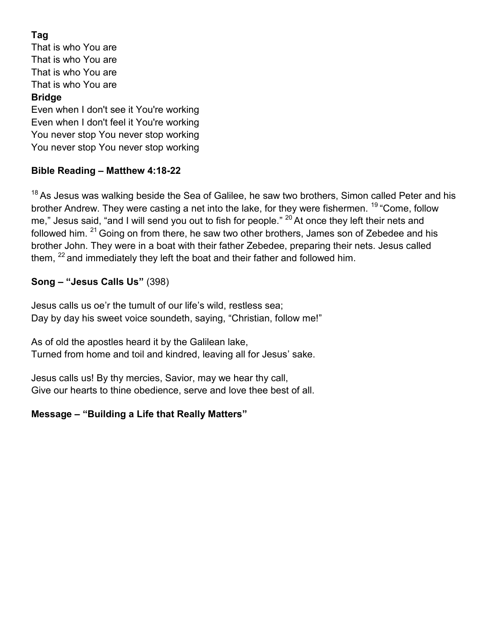# **Tag**

That is who You are That is who You are That is who You are That is who You are

#### **Bridge**

Even when I don't see it You're working Even when I don't feel it You're working You never stop You never stop working You never stop You never stop working

## **Bible Reading – Matthew 4:18-22**

 $18$  As Jesus was walking beside the Sea of Galilee, he saw two brothers, Simon called Peter and his brother Andrew. They were casting a net into the lake, for they were fishermen. <sup>19</sup> "Come, follow me," Jesus said, "and I will send you out to fish for people." <sup>20</sup> At once they left their nets and followed him.  $21$  Going on from there, he saw two other brothers, James son of Zebedee and his brother John. They were in a boat with their father Zebedee, preparing their nets. Jesus called them,  $^{22}$  and immediately they left the boat and their father and followed him.

# **Song – "Jesus Calls Us"** (398)

Jesus calls us oe'r the tumult of our life's wild, restless sea; Day by day his sweet voice soundeth, saying, "Christian, follow me!"

As of old the apostles heard it by the Galilean lake, Turned from home and toil and kindred, leaving all for Jesus' sake.

Jesus calls us! By thy mercies, Savior, may we hear thy call, Give our hearts to thine obedience, serve and love thee best of all.

# **Message – "Building a Life that Really Matters"**